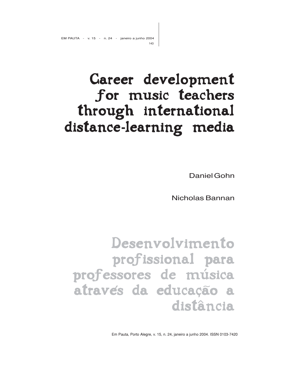# Career development for music teachers through international distance-learning media

Daniel Gohn

Nicholas Bannan

Desenvolvimento profissional para professores de música atraves da educação a distância

Em Pauta, Porto Alegre, v. 15, n. 24, janeiro a junho 2004. ISSN 0103-7420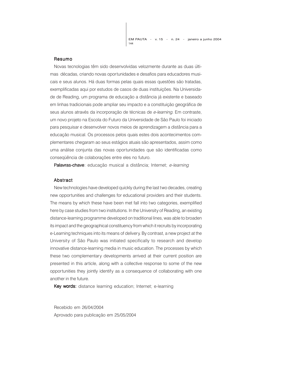#### Resumo

Novas tecnologias têm sido desenvolvidas velozmente durante as duas últimas décadas, criando novas oportunidades e desafios para educadores musicais e seus alunos. Há duas formas pelas quais essas questões são tratadas, exemplificadas aqui por estudos de casos de duas instituições. Na Universidade de Reading, um programa de educação a distância já existente e baseado em linhas tradicionais pode ampliar seu impacto e a constituição geográfica de seus alunos através da incorporação de técnicas de e-learning. Em contraste, um novo projeto na Escola do Futuro da Universidade de São Paulo foi iniciado para pesquisar e desenvolver novos meios de aprendizagem a distância para a educação musical. Os processos pelos quais estes dois acontecimentos complementares chegaram ao seus estágios atuais são apresentados, assim como uma análise conjunta das novas oportunidades que são identificadas como conseqüência de colaborações entre eles no futuro.

Palavras-chave: educação musical a distância; Internet; e-learning

#### Abstract

New technologies have developed quickly during the last two decades, creating new opportunities and challenges for educational providers and their students. The means by which these have been met fall into two categories, exemplified here by case studies from two institutions. In the University of Reading, an existing distance-learning programme developed on traditional lines, was able to broaden its impact and the geographical constituency from which it recruits by incorporating e-Learning techniques into its means of delivery. By contrast, a new project at the University of São Paulo was initiated specifically to research and develop innovative distance-learning media in music education. The processes by which these two complementary developments arrived at their current position are presented in this article, along with a collective response to some of the new opportunities they jointly identify as a consequence of collaborating with one another in the future.

Key words: distance learning education; Internet; e-learning

Recebido em 26/04/2004 Aprovado para publicação em 25/05/2004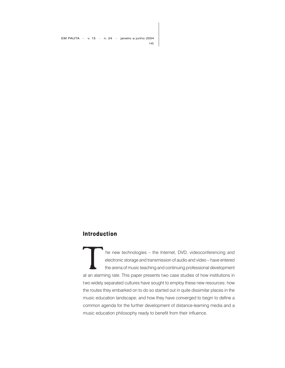EM PAUTA - v. 15 - n. 24 - janeiro a junho 2004 145

### **Introduction**

The new technologies – the Internet, DVD, videoconferencing and<br>
electronic storage and transmission of audio and video – have entered<br>
the arena of music teaching and continuing professional development<br>
at an alarming ra electronic storage and transmission of audio and video – have entered the arena of music teaching and continuing professional development two widely separated cultures have sought to employ these new resources: how the routes they embarked on to do so started out in quite dissimilar places in the music education landscape; and how they have converged to begin to define a common agenda for the further development of distance-learning media and a music education philosophy ready to benefit from their influence.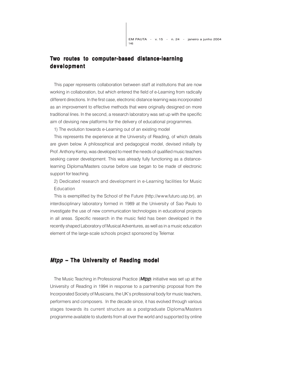## **Two routes to computer-based distance-learning development development**

This paper represents collaboration between staff at institutions that are now working in collaboration, but which entered the field of e-Learning from radically different directions. In the first case, electronic distance learning was incorporated as an improvement to effective methods that were originally designed on more traditional lines. In the second, a research laboratory was set up with the specific aim of devising new platforms for the delivery of educational programmes.

1) The evolution towards e-Learning out of an existing model

This represents the experience at the University of Reading, of which details are given below. A philosophical and pedagogical model, devised initially by Prof. Anthony Kemp, was developed to meet the needs of qualified music teachers seeking career development. This was already fully functioning as a distancelearning Diploma/Masters course before use began to be made of electronic support for teaching.

2) Dedicated research and development in e-Learning facilities for Music Education

This is exemplified by the School of the Future (http://www.futuro.usp.br), an interdisciplinary laboratory formed in 1989 at the University of Sao Paulo to investigate the use of new communication technologies in educational projects in all areas. Specific research in the music field has been developed in the recently shaped Laboratory of Musical Adventures, as well as in a music education element of the large-scale schools project sponsored by Telemar.

#### **Mtpp – The University of Reading model**

The Music Teaching in Professional Practice (*Mtpp*) initiative was set up at the University of Reading in 1994 in response to a partnership proposal from the Incorporated Society of Musicians, the UK's professional body for music teachers, performers and composers. In the decade since, it has evolved through various stages towards its current structure as a postgraduate Diploma/Masters programme available to students from all over the world and supported by online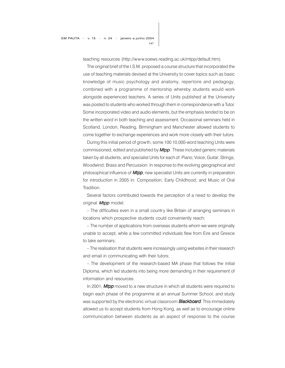teaching resources (http://www.soews.reading.ac.uk/mtpp/default.htm).

The original brief of the I.S.M. proposed a course structure that incorporated the use of teaching materials devised at the University to cover topics such as basic knowledge of music psychology and anatomy, repertoire and pedagogy, combined with a programme of mentorship whereby students would work alongside experienced teachers. A series of Units published at the University was posted to students who worked through them in correspondence with a Tutor. Some incorporated video and audio elements, but the emphasis tended to be on the written word in both teaching and assessment. Occasional seminars held in Scotland, London, Reading, Birmingham and Manchester allowed students to come together to exchange experiences and work more closely with their tutors.

During this initial period of growth, some 100 10,000-word teaching Units were commissioned, edited and published by **Mtpp**. These included generic materials taken by all students, and specialist Units for each of: Piano; Voice; Guitar; Strings; Woodwind; Brass and Percussion. In response to the evolving geographical and philosophical influence of **Mtpp**, new specialist Units are currently in preparation for introduction in 2005 in: Composition; Early Childhood; and Music of Oral Tradition.

Several factors contributed towards the perception of a need to develop the original **Mtpp** model:

– The difficulties even in a small country like Britain of arranging seminars in locations which prospective students could conveniently reach;

– The number of applications from overseas students whom we were originally unable to accept, while a few committed individuals flew from Eire and Greece to take seminars;

– The realisation that students were increasingly using websites in their research and email in communicating with their tutors;

– The development of the research-based MA phase that follows the initial Diploma, which led students into being more demanding in their requirement of information and resources.

In 2001, Mtpp moved to a new structure in which all students were required to begin each phase of the programme at an annual Summer School; and study was supported by the electronic virtual classroom **Blackboard**. This immediately allowed us to accept students from Hong Kong, as well as to encourage online communication between students as an aspect of response to the course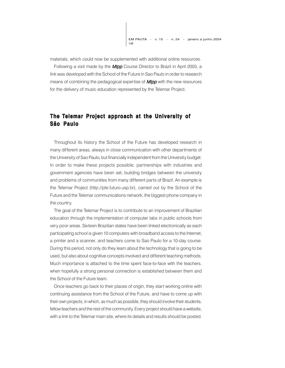materials, which could now be supplemented with additional online resources.

Following a visit made by the **Mtpp** Course Director to Brazil in April 2003, a link was developed with the School of the Future in Sao Paulo in order to research means of combining the pedagogical expertise of **Mtpp** with the new resources for the delivery of music education represented by the Telemar Project.

## **The Telemar Project approach at the University of São Paulo**

Throughout its history the School of the Future has developed research in many different areas, always in close communication with other departments of the University of Sao Paulo, but financially independent from the University budget. In order to make these projects possible, partnerships with industries and government agencies have been set, building bridges between the university and problems of communities from many different parts of Brazil. An example is the Telemar Project (http://pte.futuro.usp.br), carried out by the School of the Future and the Telemar communications network, the biggest phone company in the country.

The goal of the Telemar Project is to contribute to an improvement of Brazilian education through the implementation of computer labs in public schools from very poor areas. Sixteen Brazilian states have been linked electronically as each participating school is given 10 computers with broadband access to the Internet, a printer and a scanner, and teachers come to Sao Paulo for a 10-day course. During this period, not only do they learn about the technology that is going to be used, but also about cognitive concepts involved and different teaching methods. Much importance is attached to the time spent face-to-face with the teachers, when hopefully a strong personal connection is established between them and the School of the Future team.

Once teachers go back to their places of origin, they start working online with continuing assistance from the School of the Future, and have to come up with their own projects, in which, as much as possible, they should involve their students, fellow teachers and the rest of the community. Every project should have a website, with a link to the Telemar main site, where its details and results should be posted.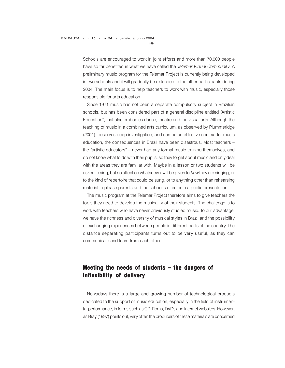Schools are encouraged to work in joint efforts and more than 70,000 people have so far benefited in what we have called the Telemar Virtual Community. A preliminary music program for the Telemar Project is currently being developed in two schools and it will gradually be extended to the other participants during 2004. The main focus is to help teachers to work with music, especially those responsible for arts education.

Since 1971 music has not been a separate compulsory subject in Brazilian schools, but has been considered part of a general discipline entitled "Artistic Education", that also embodies dance, theatre and the visual arts. Although the teaching of music in a combined arts curriculum, as observed by Plummeridge (2001), deserves deep investigation, and can be an effective context for music education, the consequences in Brazil have been disastrous. Most teachers – the "artistic educators" – never had any formal music training themselves, and do not know what to do with their pupils, so they forget about music and only deal with the areas they are familiar with. Maybe in a lesson or two students will be asked to sing, but no attention whatsoever will be given to how they are singing, or to the kind of repertoire that could be sung, or to anything other than rehearsing material to please parents and the school's director in a public presentation.

The music program at the Telemar Project therefore aims to give teachers the tools they need to develop the musicality of their students. The challenge is to work with teachers who have never previously studied music. To our advantage, we have the richness and diversity of musical styles in Brazil and the possibility of exchanging experiences between people in different parts of the country. The distance separating participants turns out to be very useful, as they can communicate and learn from each other.

# **Meeting the needs of students – the dangers of Meeting the needs students – the dangers of inflexibility of delivery**

Nowadays there is a large and growing number of technological products dedicated to the support of music education, especially in the field of instrumental performance, in forms such as CD-Roms, DVDs and Internet websites. However, as Bray (1997) points out, very often the producers of these materials are concerned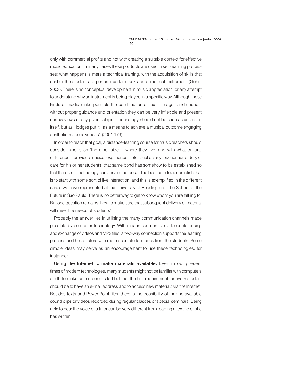150 EM PAUTA - v. 15 - n. 24 - janeiro a junho 2004

only with commercial profits and not with creating a suitable context for effective music education. In many cases these products are used in self-learning processes: what happens is mere a technical training, with the acquisition of skills that enable the students to perform certain tasks on a musical instrument (Gohn, 2003). There is no conceptual development in music appreciation, or any attempt to understand why an instrument is being played in a specific way. Although these kinds of media make possible the combination of texts, images and sounds, without proper guidance and orientation they can be very inflexible and present narrow views of any given subject. Technology should not be seen as an end in itself, but as Hodges put it, "as a means to achieve a musical outcome engaging aesthetic responsiveness" (2001:179).

In order to reach that goal, a distance-learning course for music teachers should consider who is on 'the other side' – where they live, and with what cultural differences, previous musical experiences, etc. Just as any teacher has a duty of care for his or her students, that same bond has somehow to be established so that the use of technology can serve a purpose. The best path to accomplish that is to start with some sort of live interaction, and this is exemplified in the different cases we have represented at the University of Reading and The School of the Future in Sao Paulo. There is no better way to get to know whom you are talking to. But one question remains: how to make sure that subsequent delivery of material will meet the needs of students?

Probably the answer lies in utilising the many communication channels made possible by computer technology. With means such as live videoconferencing and exchange of videos and MP3 files, a two-way connection supports the learning process and helps tutors with more accurate feedback from the students. Some simple ideas may serve as an encouragement to use these technologies, for instance:

Using the Internet to make materials available. Even in our present times of modern technologies, many students might not be familiar with computers at all. To make sure no one is left behind, the first requirement for every student should be to have an e-mail address and to access new materials via the Internet. Besides texts and Power Point files, there is the possibility of making available sound clips or videos recorded during regular classes or special seminars. Being able to hear the voice of a tutor can be very different from reading a text he or she has written.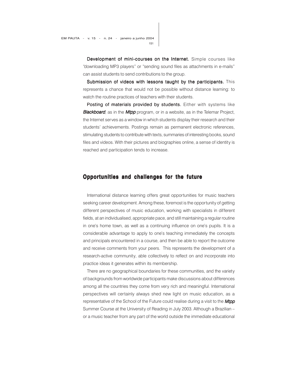Development of mini-courses on the Internet. Simple courses like "downloading MP3 players" or "sending sound files as attachments in e-mails" can assist students to send contributions to the group.

Submission of videos with lessons taught by the participants. This represents a chance that would not be possible without distance learning: to watch the routine practices of teachers with their students.

Posting of materials provided by students. Either with systems like **Blackboard**, as in the **Mtpp** program, or in a website, as in the Telemar Project, the Internet serves as a window in which students display their research and their students' achievements. Postings remain as permanent electronic references, stimulating students to contribute with texts, summaries of interesting books, sound files and videos. With their pictures and biographies online, a sense of identity is reached and participation tends to increase.

#### **Opportunities and challenges for the future**

International distance learning offers great opportunities for music teachers seeking career development. Among these, foremost is the opportunity of getting different perspectives of music education, working with specialists in different fields, at an individualised, appropriate pace, and still maintaining a regular routine in one's home town, as well as a continuing influence on one's pupils. It is a considerable advantage to apply to one's teaching immediately the concepts and principals encountered in a course, and then be able to report the outcome and receive comments from your peers. This represents the development of a research-active community, able collectively to reflect on and incorporate into practice ideas it generates within its membership.

There are no geographical boundaries for these communities, and the variety of backgrounds from worldwide participants make discussions about differences among all the countries they come from very rich and meaningful. International perspectives will certainly always shed new light on music education, as a representative of the School of the Future could realise during a visit to the **Mtpp** Summer Course at the University of Reading in July 2003. Although a Brazilian – or a music teacher from any part of the world outside the immediate educational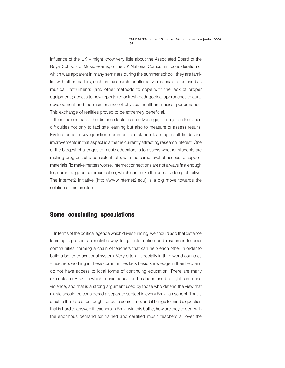influence of the UK – might know very little about the Associated Board of the Royal Schools of Music exams, or the UK National Curriculum, consideration of which was apparent in many seminars during the summer school, they are familiar with other matters, such as the search for alternative materials to be used as musical instruments (and other methods to cope with the lack of proper equipment); access to new repertoire; or fresh pedagogical approaches to aural development and the maintenance of physical health in musical performance. This exchange of realities proved to be extremely beneficial.

If, on the one hand, the distance factor is an advantage, it brings, on the other, difficulties not only to facilitate learning but also to measure or assess results. Evaluation is a key question common to distance learning in all fields and improvements in that aspect is a theme currently attracting research interest. One of the biggest challenges to music educators is to assess whether students are making progress at a consistent rate, with the same level of access to support materials. To make matters worse, Internet connections are not always fast enough to guarantee good communication, which can make the use of video prohibitive. The Internet2 initiative (http://www.internet2.edu) is a big move towards the solution of this problem.

#### **Some concluding speculations**

In terms of the political agenda which drives funding, we should add that distance learning represents a realistic way to get information and resources to poor communities, forming a chain of teachers that can help each other in order to build a better educational system. Very often – specially in third world countries – teachers working in these communities lack basic knowledge in their field and do not have access to local forms of continuing education. There are many examples in Brazil in which music education has been used to fight crime and violence, and that is a strong argument used by those who defend the view that music should be considered a separate subject in every Brazilian school. That is a battle that has been fought for quite some time, and it brings to mind a question that is hard to answer: if teachers in Brazil win this battle, how are they to deal with the enormous demand for trained and certified music teachers all over the